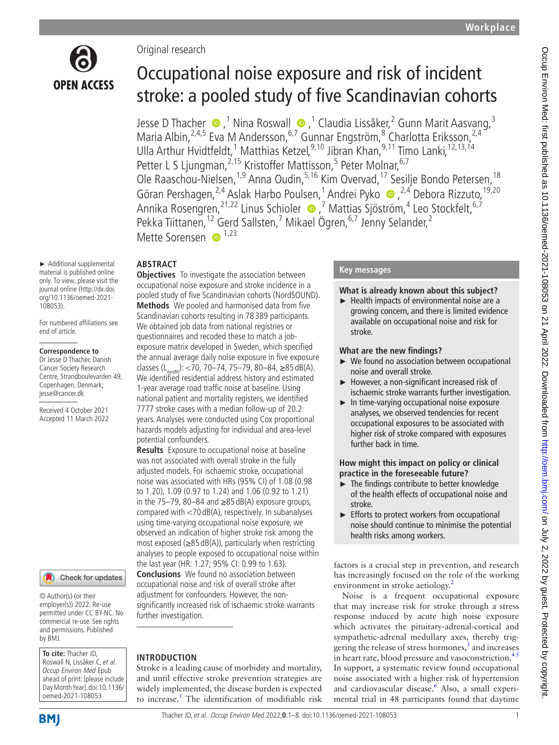

# Original research

# Occupational noise exposure and risk of incident stroke: a pooled study of five Scandinavian cohorts

JesseD Thacher  $\bigcirc$ ,<sup>1</sup> Nina Roswall  $\bigcirc$ ,<sup>1</sup> Claudia Lissåker,<sup>2</sup> Gunn Marit Aasvang,<sup>3</sup> Maria Albin, <sup>2,4,5</sup> Eva M Andersson, <sup>6,7</sup> Gunnar Engström, <sup>8</sup> Charlotta Eriksson, <sup>2,4</sup> Ulla Arthur Hvidtfeldt,<sup>1</sup> Matthias Ketzel,<sup>9,10</sup> Jibran Khan,<sup>9,11</sup> Timo Lanki,<sup>12,13,14</sup> Petter L S Ljungman,<sup>2,15</sup> Kristoffer Mattisson,<sup>5</sup> Peter Molnar,<sup>6,7</sup> Ole Raaschou-Nielsen,<sup>1,9</sup> Anna Oudin,<sup>5,16</sup> Kim Overvad,<sup>17</sup> Sesilje Bondo Petersen,<sup>18</sup> GöranPershagen,<sup>2,4</sup> Aslak Harbo Poulsen,<sup>1</sup> Andrei Pyko ●,<sup>2,4</sup> Debora Rizzuto,<sup>19,20</sup> AnnikaRosengren,<sup>21,22</sup> Linus Schioler (D, 7 Mattias Sjöström,<sup>4</sup> Leo Stockfelt, <sup>6,7</sup> Pekka Tiittanen, <sup>12</sup> Gerd Sallsten, <sup>7</sup> Mikael Ögren, <sup>6,7</sup> Jenny Selander, <sup>2</sup> Mette Sorensen  $\bullet$ <sup>1,23</sup>

# **ABSTRACT**

► Additional supplemental material is published online only. To view, please visit the journal online ([http://dx.doi.](http://dx.doi.org/10.1136/oemed-2021-108053) [org/10.1136/oemed-2021-](http://dx.doi.org/10.1136/oemed-2021-108053) [108053](http://dx.doi.org/10.1136/oemed-2021-108053)).

For numbered affiliations see end of article.

# **Correspondence to**

Dr Jesse D Thacher, Danish Cancer Society Research Centre, Strandboulevarden 49, Copenhagen, Denmark; jesse@cancer.dk

Received 4 October 2021 Accepted 11 March 2022



© Author(s) (or their employer(s)) 2022. Re-use permitted under CC BY-NC. No commercial re-use. See rights and permissions. Published by BMJ.

**To cite:** Thacher JD, Roswall N, Lissåker C, et al. Occup Environ Med Epub ahead of print: [please include Day Month Year]. doi:10.1136/ oemed-2021-108053

**Objectives** To investigate the association between occupational noise exposure and stroke incidence in a pooled study of five Scandinavian cohorts (NordSOUND). **Methods** We pooled and harmonised data from five Scandinavian cohorts resulting in 78 389 participants. We obtained job data from national registries or questionnaires and recoded these to match a jobexposure matrix developed in Sweden, which specified the annual average daily noise exposure in five exposure classes (L<sub>Aeq8h</sub>): <70, 70–74, 75–79, 80–84, ≥85 dB(A). We identified residential address history and estimated 1-year average road traffic noise at baseline. Using national patient and mortality registers, we identified 7777 stroke cases with a median follow-up of 20.2 years. Analyses were conducted using Cox proportional hazards models adjusting for individual and area-level potential confounders.

**Results** Exposure to occupational noise at baseline was not associated with overall stroke in the fully adjusted models. For ischaemic stroke, occupational noise was associated with HRs (95% CI) of 1.08 (0.98 to 1.20), 1.09 (0.97 to 1.24) and 1.06 (0.92 to 1.21) in the 75–79, 80–84 and ≥85 dB(A) exposure groups, compared with <70 dB(A), respectively. In subanalyses using time-varying occupational noise exposure, we observed an indication of higher stroke risk among the most exposed  $(\geq 85 \text{ dB(A)})$ , particularly when restricting analyses to people exposed to occupational noise within the last year (HR: 1.27; 95% CI: 0.99 to 1.63). **Conclusions** We found no association between occupational noise and risk of overall stroke after adjustment for confounders. However, the nonsignificantly increased risk of ischaemic stroke warrants further investigation.

# **INTRODUCTION**

Stroke is a leading cause of morbidity and mortality, and until effective stroke prevention strategies are widely implemented, the disease burden is expected to increase.<sup>[1](#page-7-0)</sup> The identification of modifiable risk

# **Key messages**

# **What is already known about this subject?**

► Health impacts of environmental noise are a growing concern, and there is limited evidence available on occupational noise and risk for stroke.

# **What are the new findings?**

- ► We found no association between occupational noise and overall stroke.
- ► However, a non-significant increased risk of ischaemic stroke warrants further investigation.
- ► In time-varying occupational noise exposure analyses, we observed tendencies for recent occupational exposures to be associated with higher risk of stroke compared with exposures further back in time.

# **How might this impact on policy or clinical practice in the foreseeable future?**

- ► The findings contribute to better knowledge of the health effects of occupational noise and stroke.
- ► Efforts to protect workers from occupational noise should continue to minimise the potential health risks among workers.

factors is a crucial step in prevention, and research has increasingly focused on the role of the working environment in stroke aetiology.<sup>2</sup>

Noise is a frequent occupational exposure that may increase risk for stroke through a stress response induced by acute high noise exposure which activates the pituitary-adrenal-cortical and sympathetic-adrenal medullary axes, thereby triggering the release of stress hormones, $3$  and increases in heart rate, blood pressure and vasoconstriction.<sup>45</sup> In support, a systematic review found occupational noise associated with a higher risk of hypertension and cardiovascular disease.<sup>[6](#page-7-4)</sup> Also, a small experimental trial in 48 participants found that daytime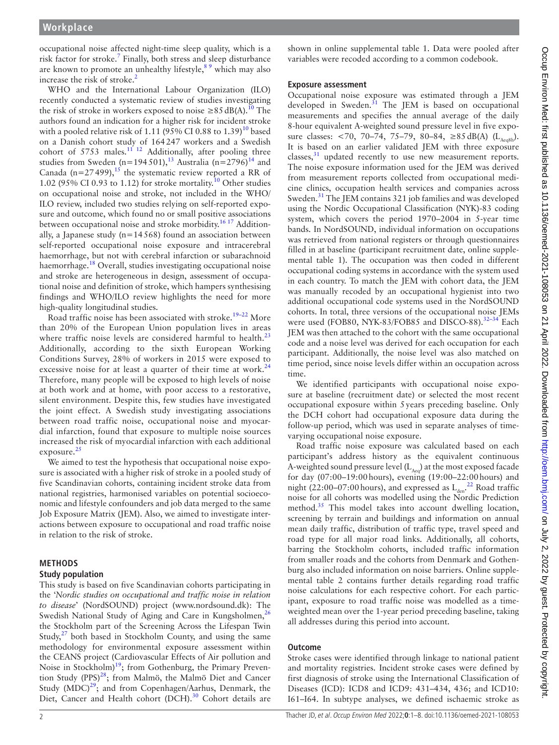occupational noise affected night-time sleep quality, which is a risk factor for stroke.<sup>[7](#page-7-5)</sup> Finally, both stress and sleep disturbance are known to promote an unhealthy lifestyle,  $89$  which may also increase the risk of stroke.<sup>2</sup>

WHO and the International Labour Organization (ILO) recently conducted a systematic review of studies investigating the risk of stroke in workers exposed to noise  $\geq 85$  dB(A).<sup>10</sup> The authors found an indication for a higher risk for incident stroke with a pooled relative risk of 1.11 (95% CI 0.88 to 1.39)<sup>10</sup> based on a Danish cohort study of 164247 workers and a Swedish cohort of  $5753$  males.<sup>11'12</sup> Additionally, after pooling three studies from Sweden (n=194501),<sup>[13](#page-7-9)</sup> Australia (n=2796)<sup>14</sup> and Canada (n=27499),<sup>15</sup> the systematic review reported a RR of 1.02 (95% CI 0.93 to 1.12) for stroke mortality.<sup>[10](#page-7-7)</sup> Other studies on occupational noise and stroke, not included in the WHO/ ILO review, included two studies relying on self-reported exposure and outcome, which found no or small positive associations between occupational noise and stroke morbidity.<sup>16 17</sup> Additionally, a Japanese study ( $n=14568$ ) found an association between self-reported occupational noise exposure and intracerebral haemorrhage, but not with cerebral infarction or subarachnoid haemorrhage.<sup>18</sup> Overall, studies investigating occupational noise and stroke are heterogeneous in design, assessment of occupational noise and definition of stroke, which hampers synthesising findings and WHO/ILO review highlights the need for more high-quality longitudinal studies.

Road traffic noise has been associated with stroke.<sup>19-22</sup> More than 20% of the European Union population lives in areas where traffic noise levels are considered harmful to health.<sup>[23](#page-7-15)</sup> Additionally, according to the sixth European Working Conditions Survey, 28% of workers in 2015 were exposed to excessive noise for at least a quarter of their time at work.<sup>[24](#page-7-16)</sup> Therefore, many people will be exposed to high levels of noise at both work and at home, with poor access to a restorative, silent environment. Despite this, few studies have investigated the joint effect. A Swedish study investigating associations between road traffic noise, occupational noise and myocardial infarction, found that exposure to multiple noise sources increased the risk of myocardial infarction with each additional exposure.<sup>[25](#page-7-17)</sup>

We aimed to test the hypothesis that occupational noise exposure is associated with a higher risk of stroke in a pooled study of five Scandinavian cohorts, containing incident stroke data from national registries, harmonised variables on potential socioeconomic and lifestyle confounders and job data merged to the same Job Exposure Matrix (JEM). Also, we aimed to investigate interactions between exposure to occupational and road traffic noise in relation to the risk of stroke.

## **METHODS**

## **Study population**

This study is based on five Scandinavian cohorts participating in the '*Nordic studies on occupational and traffic noise in relation to disease*' (NordSOUND) project ([www.nordsound.dk\)](www.nordsound.dk): The Swedish National Study of Aging and Care in Kungsholmen,<sup>[26](#page-7-18)</sup> the Stockholm part of the Screening Across the Lifespan Twin Study, $27$  both based in Stockholm County, and using the same methodology for environmental exposure assessment within the CEANS project (Cardiovascular Effects of Air pollution and Noise in Stockholm)<sup>[19](#page-7-14)</sup>; from Gothenburg, the Primary Prevention Study  $(PPS)^{28}$  $(PPS)^{28}$  $(PPS)^{28}$ ; from Malmö, the Malmö Diet and Cancer Study  $(MDC)^{29}$  $(MDC)^{29}$  $(MDC)^{29}$ ; and from Copenhagen/Aarhus, Denmark, the Diet, Cancer and Health cohort (DCH).<sup>30</sup> Cohort details are

shown in [online supplemental table 1.](https://dx.doi.org/10.1136/oemed-2021-108053) Data were pooled after variables were recoded according to a common codebook.

# **Exposure assessment**

Occupational noise exposure was estimated through a JEM developed in Sweden. $31$  The JEM is based on occupational measurements and specifies the annual average of the daily 8-hour equivalent A-weighted sound pressure level in five exposure classes: <70, 70–74, 75–79, 80–84, ≥85 dB(A) (L<sub>Aeq8h</sub>). It is based on an earlier validated JEM with three exposure classes, $31$  updated recently to use new measurement reports. The noise exposure information used for the JEM was derived from measurement reports collected from occupational medicine clinics, occupation health services and companies across Sweden.<sup>[31](#page-7-23)</sup> The JEM contains 321 job families and was developed using the Nordic Occupational Classification (NYK)-83 coding system, which covers the period 1970–2004 in 5-year time bands. In NordSOUND, individual information on occupations was retrieved from national registers or through questionnaires filled in at baseline (participant recruitment date, [online supple](https://dx.doi.org/10.1136/oemed-2021-108053)[mental table 1\)](https://dx.doi.org/10.1136/oemed-2021-108053). The occupation was then coded in different occupational coding systems in accordance with the system used in each country. To match the JEM with cohort data, the JEM was manually recoded by an occupational hygienist into two additional occupational code systems used in the NordSOUND cohorts. In total, three versions of the occupational noise JEMs were used (FOB80, NYK-83/FOB85 and DISCO-88).<sup>32-34</sup> Each JEM was then attached to the cohort with the same occupational code and a noise level was derived for each occupation for each participant. Additionally, the noise level was also matched on time period, since noise levels differ within an occupation across time.

We identified participants with occupational noise exposure at baseline (recruitment date) or selected the most recent occupational exposure within 5years preceding baseline. Only the DCH cohort had occupational exposure data during the follow-up period, which was used in separate analyses of timevarying occupational noise exposure.

Road traffic noise exposure was calculated based on each participant's address history as the equivalent continuous A-weighted sound pressure level  $(L_{\text{Aeq}})$  at the most exposed facade for day (07:00–19:00hours), evening (19:00–22:00hours) and night ([22](#page-7-25):00–07:00 hours), and expressed as  $L_{den}$ <sup>22</sup> Road traffic noise for all cohorts was modelled using the Nordic Prediction method.<sup>[35](#page-7-26)</sup> This model takes into account dwelling location, screening by terrain and buildings and information on annual mean daily traffic, distribution of traffic type, travel speed and road type for all major road links. Additionally, all cohorts, barring the Stockholm cohorts, included traffic information from smaller roads and the cohorts from Denmark and Gothenburg also included information on noise barriers. [Online supple](https://dx.doi.org/10.1136/oemed-2021-108053)[mental table 2](https://dx.doi.org/10.1136/oemed-2021-108053) contains further details regarding road traffic noise calculations for each respective cohort. For each participant, exposure to road traffic noise was modelled as a timeweighted mean over the 1-year period preceding baseline, taking all addresses during this period into account.

## **Outcome**

Stroke cases were identified through linkage to national patient and mortality registries. Incident stroke cases were defined by first diagnosis of stroke using the International Classification of Diseases (ICD): ICD8 and ICD9: 431–434, 436; and ICD10: I61–I64. In subtype analyses, we defined ischaemic stroke as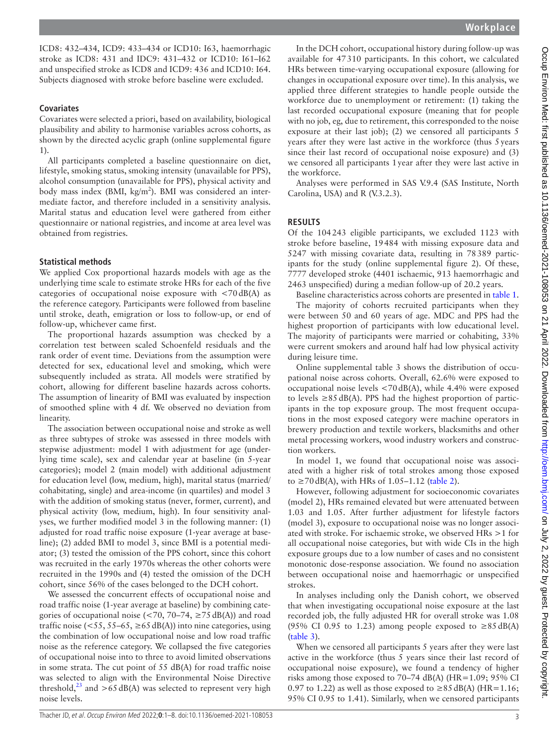ICD8: 432–434, ICD9: 433–434 or ICD10: I63, haemorrhagic stroke as ICD8: 431 and IDC9: 431–432 or ICD10: I61–I62 and unspecified stroke as ICD8 and ICD9: 436 and ICD10: I64. Subjects diagnosed with stroke before baseline were excluded.

## **Covariates**

Covariates were selected a priori, based on availability, biological plausibility and ability to harmonise variables across cohorts, as shown by the directed acyclic graph ([online supplemental figure](https://dx.doi.org/10.1136/oemed-2021-108053)  [1](https://dx.doi.org/10.1136/oemed-2021-108053)).

All participants completed a baseline questionnaire on diet, lifestyle, smoking status, smoking intensity (unavailable for PPS), alcohol consumption (unavailable for PPS), physical activity and body mass index (BMI, kg/m<sup>2</sup>). BMI was considered an intermediate factor, and therefore included in a sensitivity analysis. Marital status and education level were gathered from either questionnaire or national registries, and income at area level was obtained from registries.

#### **Statistical methods**

We applied Cox proportional hazards models with age as the underlying time scale to estimate stroke HRs for each of the five categories of occupational noise exposure with  $\langle 70 \text{ dB}(A) \rangle$  as the reference category. Participants were followed from baseline until stroke, death, emigration or loss to follow-up, or end of follow-up, whichever came first.

The proportional hazards assumption was checked by a correlation test between scaled Schoenfeld residuals and the rank order of event time. Deviations from the assumption were detected for sex, educational level and smoking, which were subsequently included as strata. All models were stratified by cohort, allowing for different baseline hazards across cohorts. The assumption of linearity of BMI was evaluated by inspection of smoothed spline with 4 df. We observed no deviation from linearity.

The association between occupational noise and stroke as well as three subtypes of stroke was assessed in three models with stepwise adjustment: model 1 with adjustment for age (underlying time scale), sex and calendar year at baseline (in 5-year categories); model 2 (main model) with additional adjustment for education level (low, medium, high), marital status (married/ cohabitating, single) and area-income (in quartiles) and model 3 with the addition of smoking status (never, former, current), and physical activity (low, medium, high). In four sensitivity analyses, we further modified model 3 in the following manner: (1) adjusted for road traffic noise exposure (1-year average at baseline); (2) added BMI to model 3, since BMI is a potential mediator; (3) tested the omission of the PPS cohort, since this cohort was recruited in the early 1970s whereas the other cohorts were recruited in the 1990s and (4) tested the omission of the DCH cohort, since 56% of the cases belonged to the DCH cohort.

We assessed the concurrent effects of occupational noise and road traffic noise (1-year average at baseline) by combining categories of occupational noise ( $\langle 70, 70, 70, 74, \geq 75$  dB(A)) and road traffic noise ( $\leq 55$ ,  $55-65$ ,  $\geq 65$  dB(A)) into nine categories, using the combination of low occupational noise and low road traffic noise as the reference category. We collapsed the five categories of occupational noise into to three to avoid limited observations in some strata. The cut point of 55 dB(A) for road traffic noise was selected to align with the Environmental Noise Directive threshold,<sup>[23](#page-7-15)</sup> and  $>65$  dB(A) was selected to represent very high noise levels.

In the DCH cohort, occupational history during follow-up was available for 47310 participants. In this cohort, we calculated HRs between time-varying occupational exposure (allowing for changes in occupational exposure over time). In this analysis, we applied three different strategies to handle people outside the workforce due to unemployment or retirement: (1) taking the last recorded occupational exposure (meaning that for people with no job, eg, due to retirement, this corresponded to the noise exposure at their last job); (2) we censored all participants 5 years after they were last active in the workforce (thus 5years since their last record of occupational noise exposure) and (3) we censored all participants 1year after they were last active in the workforce.

Analyses were performed in SAS V.9.4 (SAS Institute, North Carolina, USA) and R (V.3.2.3).

## **RESULTS**

Of the 104243 eligible participants, we excluded 1123 with stroke before baseline, 19484 with missing exposure data and 5247 with missing covariate data, resulting in 78389 participants for the study ([online supplemental figure 2](https://dx.doi.org/10.1136/oemed-2021-108053)). Of these, 7777 developed stroke (4401 ischaemic, 913 haemorrhagic and 2463 unspecified) during a median follow-up of 20.2 years.

Baseline characteristics across cohorts are presented in [table](#page-3-0) 1.

The majority of cohorts recruited participants when they were between 50 and 60 years of age. MDC and PPS had the highest proportion of participants with low educational level. The majority of participants were married or cohabiting, 33% were current smokers and around half had low physical activity during leisure time.

[Online supplemental table 3](https://dx.doi.org/10.1136/oemed-2021-108053) shows the distribution of occupational noise across cohorts. Overall, 62.6% were exposed to occupational noise levels <70dB(A), while 4.4% were exposed to levels  $\geq 85$  dB(A). PPS had the highest proportion of participants in the top exposure group. The most frequent occupations in the most exposed category were machine operators in brewery production and textile workers, blacksmiths and other metal processing workers, wood industry workers and construction workers.

In model 1, we found that occupational noise was associated with a higher risk of total strokes among those exposed to  $\geq$  70 dB(A), with HRs of 1.05–1.12 ([table](#page-4-0) 2).

However, following adjustment for socioeconomic covariates (model 2), HRs remained elevated but were attenuated between 1.03 and 1.05. After further adjustment for lifestyle factors (model 3), exposure to occupational noise was no longer associated with stroke. For ischaemic stroke, we observed HRs >1 for all occupational noise categories, but with wide CIs in the high exposure groups due to a low number of cases and no consistent monotonic dose-response association. We found no association between occupational noise and haemorrhagic or unspecified strokes.

In analyses including only the Danish cohort, we observed that when investigating occupational noise exposure at the last recorded job, the fully adjusted HR for overall stroke was 1.08 (95% CI 0.95 to 1.23) among people exposed to  $\geq 85$  dB(A) ([table](#page-4-1) 3).

When we censored all participants 5 years after they were last active in the workforce (thus 5 years since their last record of occupational noise exposure), we found a tendency of higher risks among those exposed to 70–74 dB(A) (HR=1.09; 95% CI 0.97 to 1.22) as well as those exposed to  $\geq 85$  dB(A) (HR=1.16; 95% CI 0.95 to 1.41). Similarly, when we censored participants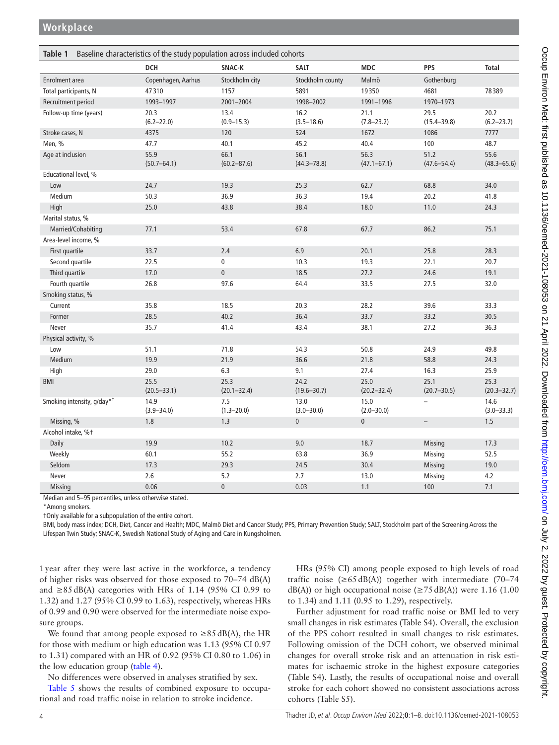<span id="page-3-0"></span>

| Baseline characteristics of the study population across included cohorts<br>Table 1 |                         |                         |                         |                         |                          |                         |
|-------------------------------------------------------------------------------------|-------------------------|-------------------------|-------------------------|-------------------------|--------------------------|-------------------------|
|                                                                                     | <b>DCH</b>              | SNAC-K                  | <b>SALT</b>             | <b>MDC</b>              | <b>PPS</b>               | <b>Total</b>            |
| Enrolment area                                                                      | Copenhagen, Aarhus      | Stockholm city          | Stockholm county        | Malmö                   | Gothenburg               |                         |
| Total participants, N                                                               | 47310                   | 1157                    | 5891                    | 19350                   | 4681                     | 78389                   |
| Recruitment period                                                                  | 1993-1997               | 2001-2004               | 1998-2002               | 1991-1996               | 1970-1973                |                         |
| Follow-up time (years)                                                              | 20.3<br>$(6.2 - 22.0)$  | 13.4<br>$(0.9 - 15.3)$  | 16.2<br>$(3.5 - 18.6)$  | 21.1<br>$(7.8 - 23.2)$  | 29.5<br>$(15.4 - 39.8)$  | 20.2<br>$(6.2 - 23.7)$  |
| Stroke cases, N                                                                     | 4375                    | 120                     | 524                     | 1672                    | 1086                     | 7777                    |
| Men, %                                                                              | 47.7                    | 40.1                    | 45.2                    | 40.4                    | 100                      | 48.7                    |
| Age at inclusion                                                                    | 55.9<br>$(50.7 - 64.1)$ | 66.1<br>$(60.2 - 87.6)$ | 56.1<br>$(44.3 - 78.8)$ | 56.3<br>$(47.1 - 67.1)$ | 51.2<br>$(47.6 - 54.4)$  | 55.6<br>$(48.3 - 65.6)$ |
| Educational level, %                                                                |                         |                         |                         |                         |                          |                         |
| Low                                                                                 | 24.7                    | 19.3                    | 25.3                    | 62.7                    | 68.8                     | 34.0                    |
| Medium                                                                              | 50.3                    | 36.9                    | 36.3                    | 19.4                    | 20.2                     | 41.8                    |
| High                                                                                | 25.0                    | 43.8                    | 38.4                    | 18.0                    | 11.0                     | 24.3                    |
| Marital status, %                                                                   |                         |                         |                         |                         |                          |                         |
| Married/Cohabiting                                                                  | 77.1                    | 53.4                    | 67.8                    | 67.7                    | 86.2                     | 75.1                    |
| Area-level income, %                                                                |                         |                         |                         |                         |                          |                         |
| First quartile                                                                      | 33.7                    | 2.4                     | 6.9                     | 20.1                    | 25.8                     | 28.3                    |
| Second quartile                                                                     | 22.5                    | $\pmb{0}$               | 10.3                    | 19.3                    | 22.1                     | 20.7                    |
| Third quartile                                                                      | 17.0                    | $\pmb{0}$               | 18.5                    | 27.2                    | 24.6                     | 19.1                    |
| Fourth quartile                                                                     | 26.8                    | 97.6                    | 64.4                    | 33.5                    | 27.5                     | 32.0                    |
| Smoking status, %                                                                   |                         |                         |                         |                         |                          |                         |
| Current                                                                             | 35.8                    | 18.5                    | 20.3                    | 28.2                    | 39.6                     | 33.3                    |
| Former                                                                              | 28.5                    | 40.2                    | 36.4                    | 33.7                    | 33.2                     | 30.5                    |
| Never                                                                               | 35.7                    | 41.4                    | 43.4                    | 38.1                    | 27.2                     | 36.3                    |
| Physical activity, %                                                                |                         |                         |                         |                         |                          |                         |
| Low                                                                                 | 51.1                    | 71.8                    | 54.3                    | 50.8                    | 24.9                     | 49.8                    |
| Medium                                                                              | 19.9                    | 21.9                    | 36.6                    | 21.8                    | 58.8                     | 24.3                    |
| High                                                                                | 29.0                    | 6.3                     | 9.1                     | 27.4                    | 16.3                     | 25.9                    |
| BMI                                                                                 | 25.5<br>$(20.5 - 33.1)$ | 25.3<br>$(20.1 - 32.4)$ | 24.2<br>$(19.6 - 30.7)$ | 25.0<br>$(20.2 - 32.4)$ | 25.1<br>$(20.7 - 30.5)$  | 25.3<br>$(20.3 - 32.7)$ |
| Smoking intensity, g/day* <sup>†</sup>                                              | 14.9<br>$(3.9 - 34.0)$  | 7.5<br>$(1.3 - 20.0)$   | 13.0<br>$(3.0 - 30.0)$  | 15.0<br>$(2.0 - 30.0)$  |                          | 14.6<br>$(3.0 - 33.3)$  |
| Missing, %                                                                          | 1.8                     | 1.3                     | $\pmb{0}$               | $\mathbf 0$             | $\overline{\phantom{0}}$ | 1.5                     |
| Alcohol intake, %t                                                                  |                         |                         |                         |                         |                          |                         |
| Daily                                                                               | 19.9                    | 10.2                    | 9.0                     | 18.7                    | <b>Missing</b>           | 17.3                    |
| Weekly                                                                              | 60.1                    | 55.2                    | 63.8                    | 36.9                    | Missing                  | 52.5                    |
| Seldom                                                                              | 17.3                    | 29.3                    | 24.5                    | 30.4                    | <b>Missing</b>           | 19.0                    |
| Never                                                                               | 2.6                     | 5.2                     | 2.7                     | 13.0                    | Missing                  | 4.2                     |
| Missing                                                                             | 0.06                    | $\pmb{0}$               | 0.03                    | 1.1                     | 100                      | 7.1                     |

Median and 5–95 percentiles, unless otherwise stated.

\*Among smokers.

†Only available for a subpopulation of the entire cohort.

BMI, body mass index; DCH, Diet, Cancer and Health; MDC, Malmö Diet and Cancer Study; PPS, Primary Prevention Study; SALT, Stockholm part of the Screening Across the Lifespan Twin Study; SNAC-K, Swedish National Study of Aging and Care in Kungsholmen.

1year after they were last active in the workforce, a tendency of higher risks was observed for those exposed to 70–74 dB(A) and ≥85 dB(A) categories with HRs of 1.14 (95% CI 0.99 to 1.32) and 1.27 (95% CI 0.99 to 1.63), respectively, whereas HRs of 0.99 and 0.90 were observed for the intermediate noise exposure groups.

We found that among people exposed to  $\geq 85$  dB(A), the HR for those with medium or high education was 1.13 (95% CI 0.97 to 1.31) compared with an HR of 0.92 (95% CI 0.80 to 1.06) in the low education group [\(table](#page-5-0) 4).

No differences were observed in analyses stratified by sex.

[Table](#page-5-1) 5 shows the results of combined exposure to occupational and road traffic noise in relation to stroke incidence.

HRs (95% CI) among people exposed to high levels of road traffic noise ( $\geq 65$  dB(A)) together with intermediate (70–74 dB(A)) or high occupational noise ( $\geq$ 75 dB(A)) were 1.16 (1.00 to 1.34) and 1.11 (0.95 to 1.29), respectively.

Further adjustment for road traffic noise or BMI led to very small changes in risk estimates ([Table S4](https://dx.doi.org/10.1136/oemed-2021-108053)). Overall, the exclusion of the PPS cohort resulted in small changes to risk estimates. Following omission of the DCH cohort, we observed minimal changes for overall stroke risk and an attenuation in risk estimates for ischaemic stroke in the highest exposure categories ([Table S4\)](https://dx.doi.org/10.1136/oemed-2021-108053). Lastly, the results of occupational noise and overall stroke for each cohort showed no consistent associations across cohorts ([Table S5](https://dx.doi.org/10.1136/oemed-2021-108053)).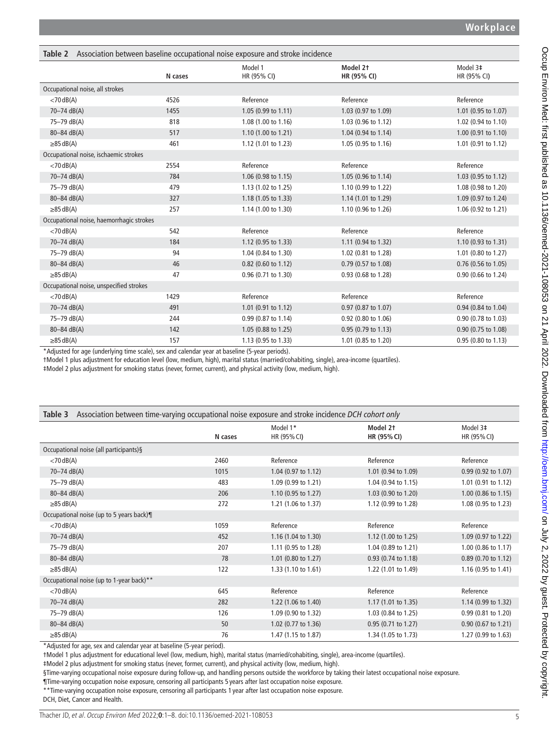<span id="page-4-0"></span>

| Table 2 Association between baseline occupational noise exposure and stroke incidence |         |                        |                               |                         |  |  |
|---------------------------------------------------------------------------------------|---------|------------------------|-------------------------------|-------------------------|--|--|
|                                                                                       | N cases | Model 1<br>HR (95% CI) | Model 2t<br>HR (95% CI)       | Model 3‡<br>HR (95% CI) |  |  |
| Occupational noise, all strokes                                                       |         |                        |                               |                         |  |  |
| $<$ 70 dB(A)                                                                          | 4526    | Reference              | Reference                     | Reference               |  |  |
| 70-74 dB(A)                                                                           | 1455    | 1.05 (0.99 to 1.11)    | 1.03 (0.97 to 1.09)           | 1.01 (0.95 to 1.07)     |  |  |
| 75-79 dB(A)                                                                           | 818     | 1.08 (1.00 to 1.16)    | 1.03 (0.96 to 1.12)           | 1.02 (0.94 to 1.10)     |  |  |
| 80-84 dB(A)                                                                           | 517     | 1.10 (1.00 to 1.21)    | 1.04 (0.94 to 1.14)           | $1.00$ (0.91 to 1.10)   |  |  |
| $\geq$ 85 dB(A)                                                                       | 461     | 1.12 (1.01 to 1.23)    | 1.05 (0.95 to 1.16)           | 1.01 (0.91 to 1.12)     |  |  |
| Occupational noise, ischaemic strokes                                                 |         |                        |                               |                         |  |  |
| $<$ 70 dB(A)                                                                          | 2554    | Reference              | Reference                     | Reference               |  |  |
| 70-74 dB(A)                                                                           | 784     | 1.06 (0.98 to 1.15)    | 1.05 (0.96 to 1.14)           | 1.03 (0.95 to 1.12)     |  |  |
| 75-79 dB(A)                                                                           | 479     | 1.13 (1.02 to 1.25)    | 1.10 (0.99 to 1.22)           | 1.08 (0.98 to 1.20)     |  |  |
| 80-84 dB(A)                                                                           | 327     | 1.18 (1.05 to 1.33)    | 1.14 (1.01 to 1.29)           | 1.09 (0.97 to 1.24)     |  |  |
| $\geq$ 85 dB(A)                                                                       | 257     | 1.14 (1.00 to 1.30)    | 1.10 (0.96 to 1.26)           | 1.06 (0.92 to 1.21)     |  |  |
| Occupational noise, haemorrhagic strokes                                              |         |                        |                               |                         |  |  |
| $<$ 70 dB(A)                                                                          | 542     | Reference              | Reference                     | Reference               |  |  |
| 70-74 dB(A)                                                                           | 184     | 1.12 (0.95 to 1.33)    | 1.11 (0.94 to 1.32)           | 1.10(0.93 to 1.31)      |  |  |
| 75-79 dB(A)                                                                           | 94      | 1.04 (0.84 to 1.30)    | 1.02 (0.81 to 1.28)           | 1.01 (0.80 to 1.27)     |  |  |
| 80-84 dB(A)                                                                           | 46      | 0.82 (0.60 to 1.12)    | 0.79 (0.57 to 1.08)           | 0.76 (0.56 to 1.05)     |  |  |
| $\geq$ 85 dB(A)                                                                       | 47      | 0.96 (0.71 to 1.30)    | 0.93 (0.68 to 1.28)           | 0.90 (0.66 to 1.24)     |  |  |
| Occupational noise, unspecified strokes                                               |         |                        |                               |                         |  |  |
| $<$ 70 dB(A)                                                                          | 1429    | Reference              | Reference                     | Reference               |  |  |
| 70-74 dB(A)                                                                           | 491     | 1.01 (0.91 to 1.12)    | 0.97 (0.87 to 1.07)           | 0.94 (0.84 to 1.04)     |  |  |
| 75-79 dB(A)                                                                           | 244     | 0.99 (0.87 to 1.14)    | 0.92 (0.80 to 1.06)           | 0.90 (0.78 to 1.03)     |  |  |
| 80-84 dB(A)                                                                           | 142     | 1.05 (0.88 to 1.25)    | $0.95(0.79 \text{ to } 1.13)$ | 0.90 (0.75 to 1.08)     |  |  |
| $\geq$ 85 dB(A)                                                                       | 157     | 1.13 (0.95 to 1.33)    | 1.01 (0.85 to 1.20)           | 0.95 (0.80 to 1.13)     |  |  |

\*Adjusted for age (underlying time scale), sex and calendar year at baseline (5-year periods).

†Model 1 plus adjustment for education level (low, medium, high), marital status (married/cohabiting, single), area-income (quartiles).

‡Model 2 plus adjustment for smoking status (never, former, current), and physical activity (low, medium, high).

<span id="page-4-1"></span>

| Association between time-varying occupational noise exposure and stroke incidence DCH cohort only<br>Table 3 |         |                               |                         |                               |  |  |
|--------------------------------------------------------------------------------------------------------------|---------|-------------------------------|-------------------------|-------------------------------|--|--|
|                                                                                                              | N cases | Model 1*<br>HR (95% CI)       | Model 2+<br>HR (95% CI) | Model 3‡<br>HR (95% CI)       |  |  |
| Occupational noise (all participants) §                                                                      |         |                               |                         |                               |  |  |
| $<$ 70 dB(A)                                                                                                 | 2460    | Reference                     | Reference               | Reference                     |  |  |
| 70-74 dB(A)                                                                                                  | 1015    | $1.04$ (0.97 to 1.12)         | 1.01 (0.94 to 1.09)     | $0.99$ (0.92 to 1.07)         |  |  |
| 75-79 dB(A)                                                                                                  | 483     | 1.09 (0.99 to 1.21)           | 1.04 (0.94 to 1.15)     | $1.01$ (0.91 to 1.12)         |  |  |
| 80-84 dB(A)                                                                                                  | 206     | 1.10 (0.95 to 1.27)           | 1.03 (0.90 to 1.20)     | 1.00 (0.86 to 1.15)           |  |  |
| $\geq$ 85 dB(A)                                                                                              | 272     | 1.21 (1.06 to 1.37)           | 1.12 (0.99 to 1.28)     | 1.08 (0.95 to 1.23)           |  |  |
| Occupational noise (up to 5 years back)¶                                                                     |         |                               |                         |                               |  |  |
| $<$ 70 dB(A)                                                                                                 | 1059    | Reference                     | Reference               | Reference                     |  |  |
| 70-74 dB(A)                                                                                                  | 452     | 1.16 (1.04 to 1.30)           | 1.12 (1.00 to 1.25)     | 1.09 (0.97 to 1.22)           |  |  |
| 75-79 dB(A)                                                                                                  | 207     | 1.11 (0.95 to 1.28)           | 1.04 (0.89 to 1.21)     | $1.00$ (0.86 to 1.17)         |  |  |
| $80 - 84$ dB(A)                                                                                              | 78      | $1.01$ (0.80 to 1.27)         | 0.93 (0.74 to 1.18)     | $0.89$ (0.70 to 1.12)         |  |  |
| $\geq$ 85 dB(A)                                                                                              | 122     | $1.33(1.10 \text{ to } 1.61)$ | 1.22 (1.01 to 1.49)     | 1.16 $(0.95$ to 1.41)         |  |  |
| Occupational noise (up to 1-year back)**                                                                     |         |                               |                         |                               |  |  |
| $<$ 70 dB(A)                                                                                                 | 645     | Reference                     | Reference               | Reference                     |  |  |
| $70 - 74$ dB(A)                                                                                              | 282     | 1.22 (1.06 to 1.40)           | 1.17 (1.01 to 1.35)     | $1.14(0.99 \text{ to } 1.32)$ |  |  |
| 75-79 dB(A)                                                                                                  | 126     | 1.09 (0.90 to 1.32)           | 1.03 (0.84 to 1.25)     | $0.99$ (0.81 to 1.20)         |  |  |
| 80-84 dB(A)                                                                                                  | 50      | 1.02 (0.77 to 1.36)           | 0.95 (0.71 to 1.27)     | $0.90$ (0.67 to 1.21)         |  |  |
| $\geq$ 85 dB(A)                                                                                              | 76      | 1.47 (1.15 to 1.87)           | 1.34 (1.05 to 1.73)     | 1.27 (0.99 to 1.63)           |  |  |

\*Adjusted for age, sex and calendar year at baseline (5-year period).

†Model 1 plus adjustment for educational level (low, medium, high), marital status (married/cohabiting, single), area-income (quartiles).

‡Model 2 plus adjustment for smoking status (never, former, current), and physical activity (low, medium, high).

§Time-varying occupational noise exposure during follow-up, and handling persons outside the workforce by taking their latest occupational noise exposure.

¶Time-varying occupation noise exposure, censoring all participants 5 years after last occupation noise exposure.

\*\*Time-varying occupation noise exposure, censoring all participants 1 year after last occupation noise exposure.

DCH, Diet, Cancer and Health.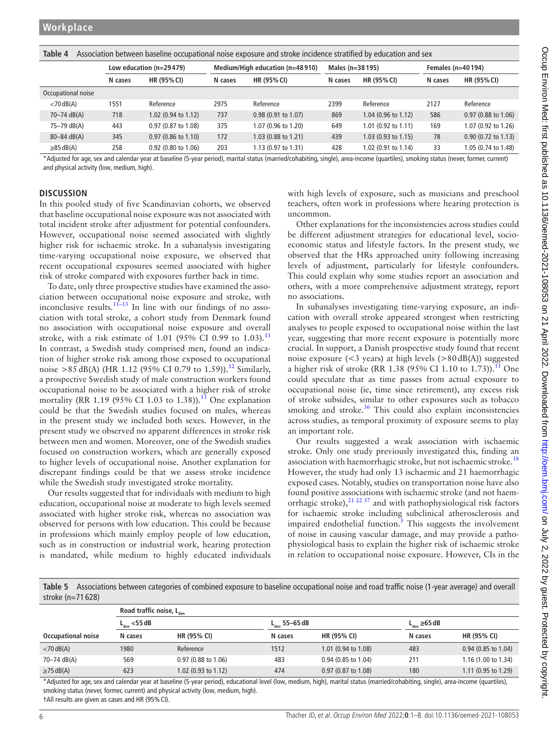<span id="page-5-0"></span>

| Association between baseline occupational noise exposure and stroke incidence stratified by education and sex<br>Table 4 |                           |                               |                                 |                               |                  |                                |                    |                               |  |
|--------------------------------------------------------------------------------------------------------------------------|---------------------------|-------------------------------|---------------------------------|-------------------------------|------------------|--------------------------------|--------------------|-------------------------------|--|
|                                                                                                                          | Low education $(n=29479)$ |                               | Medium/High education (n=48910) |                               | Males (n=38 195) |                                | Females (n=40 194) |                               |  |
|                                                                                                                          | N cases                   | <b>HR (95% CI)</b>            | N cases                         | HR (95% CI)                   | N cases          | HR (95% CI)                    | N cases            | HR (95% CI)                   |  |
| Occupational noise                                                                                                       |                           |                               |                                 |                               |                  |                                |                    |                               |  |
| $<$ 70 dB(A)                                                                                                             | 1551                      | Reference                     | 2975                            | Reference                     | 2399             | Reference                      | 2127               | Reference                     |  |
| 70-74 dB(A)                                                                                                              | 718                       | 1.02 (0.94 to 1.12)           | 737                             | $0.98(0.91 \text{ to } 1.07)$ | 869              | $1.04$ (0.96 to 1.12)          | 586                | $0.97(0.88 \text{ to } 1.06)$ |  |
| 75–79 dB(A)                                                                                                              | 443                       | 0.97 (0.87 to 1.08)           | 375                             | 1.07 (0.96 to 1.20)           | 649              | 1.01 $(0.92 \text{ to } 1.11)$ | 169                | 1.07 (0.92 to 1.26)           |  |
| $80 - 84$ dB(A)                                                                                                          | 345                       | $0.97(0.86 \text{ to } 1.10)$ | 172                             | 1.03 (0.88 to 1.21)           | 439              | $1.03$ (0.93 to 1.15)          | 78                 | $0.90$ (0.72 to 1.13)         |  |
| $\geq$ 85 dB(A)                                                                                                          | 258                       | 0.92 (0.80 to 1.06)           | 203                             | 1.13 (0.97 to 1.31)           | 428              | 1.02 (0.91 to 1.14)            | 33                 | 1.05 (0.74 to 1.48)           |  |

\*Adjusted for age, sex and calendar year at baseline (5-year period), marital status (married/cohabiting, single), area-income (quartiles), smoking status (never, former, current) and physical activity (low, medium, high).

## **DISCUSSION**

In this pooled study of five Scandinavian cohorts, we observed that baseline occupational noise exposure was not associated with total incident stroke after adjustment for potential confounders. However, occupational noise seemed associated with slightly higher risk for ischaemic stroke. In a subanalysis investigating time-varying occupational noise exposure, we observed that recent occupational exposures seemed associated with higher risk of stroke compared with exposures further back in time.

To date, only three prospective studies have examined the association between occupational noise exposure and stroke, with inconclusive results.<sup>11-13</sup> In line with our findings of no association with total stroke, a cohort study from Denmark found no association with occupational noise exposure and overall stroke, with a risk estimate of 1.01 (95% CI 0.99 to 1.03).<sup>[11](#page-7-8)</sup> In contrast, a Swedish study comprised men, found an indication of higher stroke risk among those exposed to occupational noise >85 dB(A) (HR 1.[12](#page-7-27) (95% CI 0.79 to 1.59)).<sup>12</sup> Similarly, a prospective Swedish study of male construction workers found occupational noise to be associated with a higher risk of stroke mortality (RR 1.19 (95% CI 1.03 to 1.38)).<sup>[13](#page-7-9)</sup> One explanation could be that the Swedish studies focused on males, whereas in the present study we included both sexes. However, in the present study we observed no apparent differences in stroke risk between men and women. Moreover, one of the Swedish studies focused on construction workers, which are generally exposed to higher levels of occupational noise. Another explanation for discrepant findings could be that we assess stroke incidence while the Swedish study investigated stroke mortality.

Our results suggested that for individuals with medium to high education, occupational noise at moderate to high levels seemed associated with higher stroke risk, whereas no association was observed for persons with low education. This could be because in professions which mainly employ people of low education, such as in construction or industrial work, hearing protection is mandated, while medium to highly educated individuals

with high levels of exposure, such as musicians and preschool teachers, often work in professions where hearing protection is uncommon.

Other explanations for the inconsistencies across studies could be different adjustment strategies for educational level, socioeconomic status and lifestyle factors. In the present study, we observed that the HRs approached unity following increasing levels of adjustment, particularly for lifestyle confounders. This could explain why some studies report an association and others, with a more comprehensive adjustment strategy, report no associations.

In subanalyses investigating time-varying exposure, an indication with overall stroke appeared strongest when restricting analyses to people exposed to occupational noise within the last year, suggesting that more recent exposure is potentially more crucial. In support, a Danish prospective study found that recent noise exposure (<3 years) at high levels (>80dB(A)) suggested a higher risk of stroke (RR 1.38 (95% CI 1.10 to 1.73)).<sup>11</sup> One could speculate that as time passes from actual exposure to occupational noise (ie, time since retirement), any excess risk of stroke subsides, similar to other exposures such as tobacco smoking and stroke. $36$  This could also explain inconsistencies across studies, as temporal proximity of exposure seems to play an important role.

Our results suggested a weak association with ischaemic stroke. Only one study previously investigated this, finding an association with haemorrhagic stroke, but not ischaemic stroke.<sup>[18](#page-7-13)</sup> However, the study had only 13 ischaemic and 21 haemorrhagic exposed cases. Notably, studies on transportation noise have also found positive associations with ischaemic stroke (and not haemorrhagic stroke), $21 22 37$  and with pathophysiological risk factors for ischaemic stroke including subclinical atherosclerosis and impaired endothelial function.<sup>[5](#page-7-30)</sup> This suggests the involvement of noise in causing vascular damage, and may provide a pathophysiological basis to explain the higher risk of ischaemic stroke in relation to occupational noise exposure. However, CIs in the

<span id="page-5-1"></span>Table 5 Associations between categories of combined exposure to baseline occupational noise and road traffic noise (1-year average) and overall stroke (n=71 628)

|                    | Road traffic noise, L <sub>den</sub> |                               |                           |                               |                                    |                       |  |  |
|--------------------|--------------------------------------|-------------------------------|---------------------------|-------------------------------|------------------------------------|-----------------------|--|--|
|                    | $L_{\text{den}}$ $<$ 55 dB           |                               | $L_{\text{max}}$ 55–65 dB |                               | $L_{\text{don}} \ge 65 \text{ dB}$ |                       |  |  |
| Occupational noise | N cases                              | <b>HR (95% CI)</b>            | N cases                   | <b>HR (95% CI)</b>            | N cases                            | <b>HR (95% CI)</b>    |  |  |
| $<$ 70 dB(A)       | 1980                                 | Reference                     | 1512                      | 1.01 (0.94 to 1.08)           | 483                                | $0.94$ (0.85 to 1.04) |  |  |
| 70–74 dB(A)        | 569                                  | $0.97(0.88 \text{ to } 1.06)$ | 483                       | $0.94$ (0.85 to 1.04)         | 211                                | 1.16 (1.00 to 1.34)   |  |  |
| $\geq$ 75 dB(A)    | 623                                  | $1.02$ (0.93 to 1.12)         | 474                       | $0.97(0.87 \text{ to } 1.08)$ | 180                                | 1.11 (0.95 to 1.29)   |  |  |

\*Adjusted for age, sex and calendar year at baseline (5-year period), educational level (low, medium, high), marital status (married/cohabiting, single), area-income (quartiles), smoking status (never, former, current) and physical activity (low, medium, high). †All results are given as cases and HR (95%CI).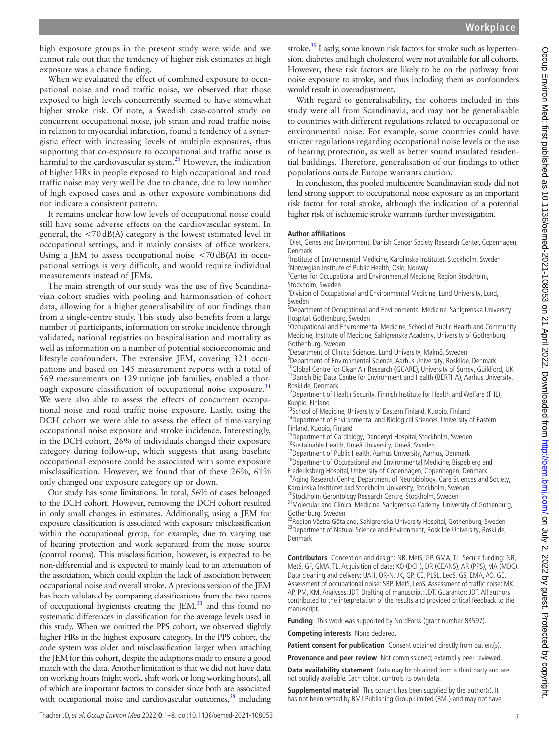high exposure groups in the present study were wide and we cannot rule out that the tendency of higher risk estimates at high exposure was a chance finding.

When we evaluated the effect of combined exposure to occupational noise and road traffic noise, we observed that those exposed to high levels concurrently seemed to have somewhat higher stroke risk. Of note, a Swedish case-control study on concurrent occupational noise, job strain and road traffic noise in relation to myocardial infarction, found a tendency of a synergistic effect with increasing levels of multiple exposures, thus supporting that co-exposure to occupational and traffic noise is harmful to the cardiovascular system. $25$  However, the indication of higher HRs in people exposed to high occupational and road traffic noise may very well be due to chance, due to low number of high exposed cases and as other exposure combinations did not indicate a consistent pattern.

It remains unclear how low levels of occupational noise could still have some adverse effects on the cardiovascular system. In general, the <70dB(A) category is the lowest estimated level in occupational settings, and it mainly consists of office workers. Using a JEM to assess occupational noise  $\langle 70 \, \text{dB(A)} \rangle$  in occupational settings is very difficult, and would require individual measurements instead of JEMs.

The main strength of our study was the use of five Scandinavian cohort studies with pooling and harmonisation of cohort data, allowing for a higher generalisability of our findings than from a single-centre study. This study also benefits from a large number of participants, information on stroke incidence through validated, national registries on hospitalisation and mortality as well as information on a number of potential socioeconomic and lifestyle confounders. The extensive JEM, covering 321 occupations and based on 145 measurement reports with a total of 569 measurements on 129 unique job families, enabled a thor-ough exposure classification of occupational noise exposure.<sup>[31](#page-7-23)</sup> We were also able to assess the effects of concurrent occupational noise and road traffic noise exposure. Lastly, using the DCH cohort we were able to assess the effect of time-varying occupational noise exposure and stroke incidence. Interestingly, in the DCH cohort, 26% of individuals changed their exposure category during follow-up, which suggests that using baseline occupational exposure could be associated with some exposure misclassification. However, we found that of these 26%, 61% only changed one exposure category up or down.

Our study has some limitations. In total, 56% of cases belonged to the DCH cohort. However, removing the DCH cohort resulted in only small changes in estimates. Additionally, using a JEM for exposure classification is associated with exposure misclassification within the occupational group, for example, due to varying use of hearing protection and work separated from the noise source (control rooms). This misclassification, however, is expected to be non-differential and is expected to mainly lead to an attenuation of the association, which could explain the lack of association between occupational noise and overall stroke. A previous version of the JEM has been validated by comparing classifications from the two teams of occupational hygienists creating the  $JEM$ ,<sup>31</sup> and this found no systematic differences in classification for the average levels used in this study. When we omitted the PPS cohort, we observed slightly higher HRs in the highest exposure category. In the PPS cohort, the code system was older and misclassification larger when attaching the JEM for this cohort, despite the adaptions made to ensure a good match with the data. Another limitation is that we did not have data on working hours (night work, shift work or long working hours), all of which are important factors to consider since both are associated with occupational noise and cardiovascular outcomes, $38$  including

stroke.<sup>39</sup> Lastly, some known risk factors for stroke such as hypertension, diabetes and high cholesterol were not available for all cohorts. However, these risk factors are likely to be on the pathway from noise exposure to stroke, and thus including them as confounders would result in overadjustment.

With regard to generalisability, the cohorts included in this study were all from Scandinavia, and may not be generalisable to countries with different regulations related to occupational or environmental noise. For example, some countries could have stricter regulations regarding occupational noise levels or the use of hearing protection, as well as better sound insulated residential buildings. Therefore, generalisation of our findings to other populations outside Europe warrants caution.

In conclusion, this pooled multicentre Scandinavian study did not lend strong support to occupational noise exposure as an important risk factor for total stroke, although the indication of a potential higher risk of ischaemic stroke warrants further investigation.

#### **Author affiliations**

<sup>1</sup>Diet, Genes and Environment, Danish Cancer Society Research Center, Copenhagen, Denmark

<sup>2</sup>Institute of Environmental Medicine, Karolinska Institutet, Stockholm, Sweden <sup>3</sup>Norwegian Institute of Public Health, Oslo, Norway

<sup>4</sup> Center for Occupational and Environmental Medicine, Region Stockholm, Stockholm, Sweden

5 Division of Occupational and Environmental Medicine, Lund University, Lund, Sweden

6 Department of Occupational and Environmental Medicine, Sahlgrenska University Hospital, Gothenburg, Sweden

<sup>7</sup> Occupational and Environmental Medicine, School of Public Health and Community Medicine, Institute of Medicine, Sahlgrenska Academy, University of Gothenburg, Gothenburg, Sweden

8 Department of Clinical Sciences, Lund University, Malmö, Sweden

9 Department of Environmental Science, Aarhus University, Roskilde, Denmark <sup>10</sup>Global Centre for Clean Air Research (GCARE), University of Surrey, Guildford, UK <sup>11</sup> Danish Big Data Centre for Environment and Health (BERTHA), Aarhus University, Roskilde, Denmark

<sup>12</sup>Department of Health Security, Finnish Institute for Health and Welfare (THL),

Kuopio, Finland 13School of Medicine, University of Eastern Finland, Kuopio, Finland

<sup>14</sup>Department of Environmental and Biological Sciences, University of Eastern Finland, Kuopio, Finland

<sup>15</sup>Department of Cardiology, Danderyd Hospital, Stockholm, Sweden

<sup>16</sup>Sustainable Health, Umeå University, Umeå, Sweden

<sup>17</sup> Department of Public Health, Aarhus University, Aarhus, Denmark

<sup>18</sup>Department of Occupational and Environmental Medicine, Bispebjerg and

Frederiksberg Hospital, University of Copenhagen, Copenhagen, Denmark <sup>19</sup>Aging Research Centre, Department of Neurobiology, Care Sciences and Society, Karolinska Institutet and Stockholm University, Stockholm, Sweden

20Stockholm Gerontology Research Centre, Stockholm, Sweden

<sup>21</sup> Molecular and Clinical Medicine, Sahlgrenska Cademy, University of Gothenburg, Gothenburg, Sweden

 $^2$ Region Västra Götaland, Sahlgrenska University Hospital, Gothenburg, Sweden <sup>23</sup>Department of Natural Science and Environment, Roskilde University, Roskilde, Denmark

**Contributors** Conception and design: NR, MetS, GP, GMA, TL. Secure funding: NR, MetS, GP, GMA, TL. Acquisition of data: KO (DCH), DR (CEANS), AR (PPS), MA (MDC). Data cleaning and delivery: UAH, OR-N, JK, GP, CE, PLSL, LeoS, GS, EMA, AO, GE. Assessment of occupational noise: SBP, MetS, LeoS. Assessment of traffic noise: MK, AP, PM, KM. Analyses: JDT. Drafting of manuscript: JDT. Guarantor: JDT. All authors contributed to the interpretation of the results and provided critical feedback to the manuscript.

**Funding** This work was supported by NordForsk (grant number 83597).

**Competing interests** None declared.

Patient consent for publication Consent obtained directly from patient(s).

**Provenance and peer review** Not commissioned; externally peer reviewed.

**Data availability statement** Data may be obtained from a third party and are not publicly available. Each cohort controls its own data.

**Supplemental material** This content has been supplied by the author(s). It has not been vetted by BMJ Publishing Group Limited (BMJ) and may not have